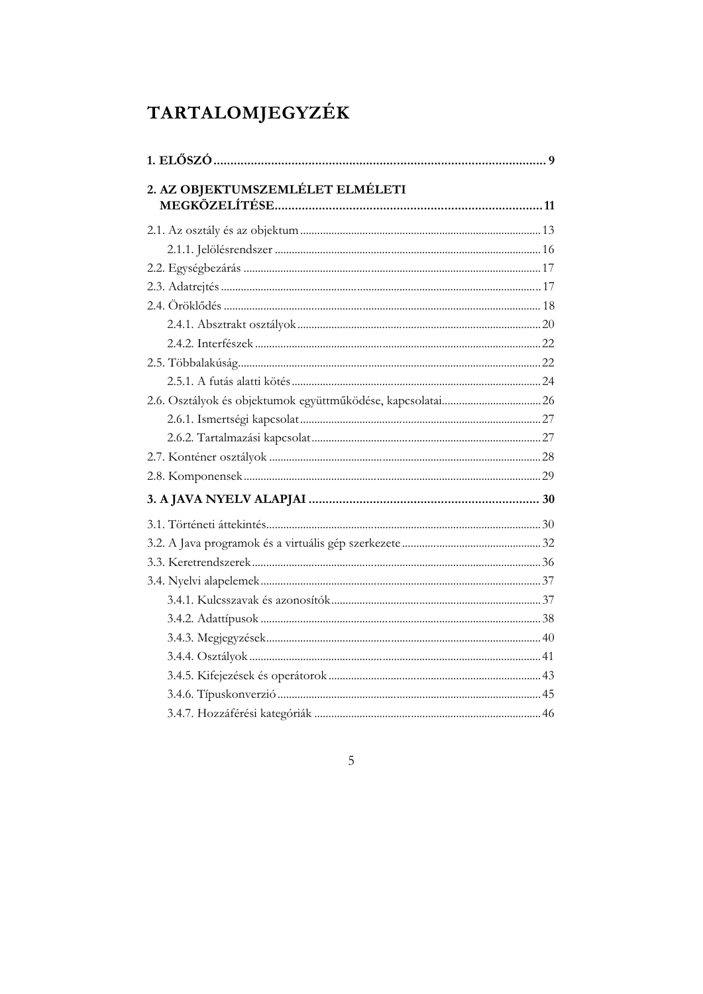| 2. AZ OBJEKTUMSZEMLÉLET ELMÉLETI |  |
|----------------------------------|--|
|                                  |  |
|                                  |  |
|                                  |  |
|                                  |  |
|                                  |  |
|                                  |  |
|                                  |  |
|                                  |  |
|                                  |  |
|                                  |  |
|                                  |  |
|                                  |  |
|                                  |  |
|                                  |  |
|                                  |  |
|                                  |  |
|                                  |  |
|                                  |  |
|                                  |  |
|                                  |  |
|                                  |  |
|                                  |  |
|                                  |  |
|                                  |  |
|                                  |  |
|                                  |  |

## $\overline{5}$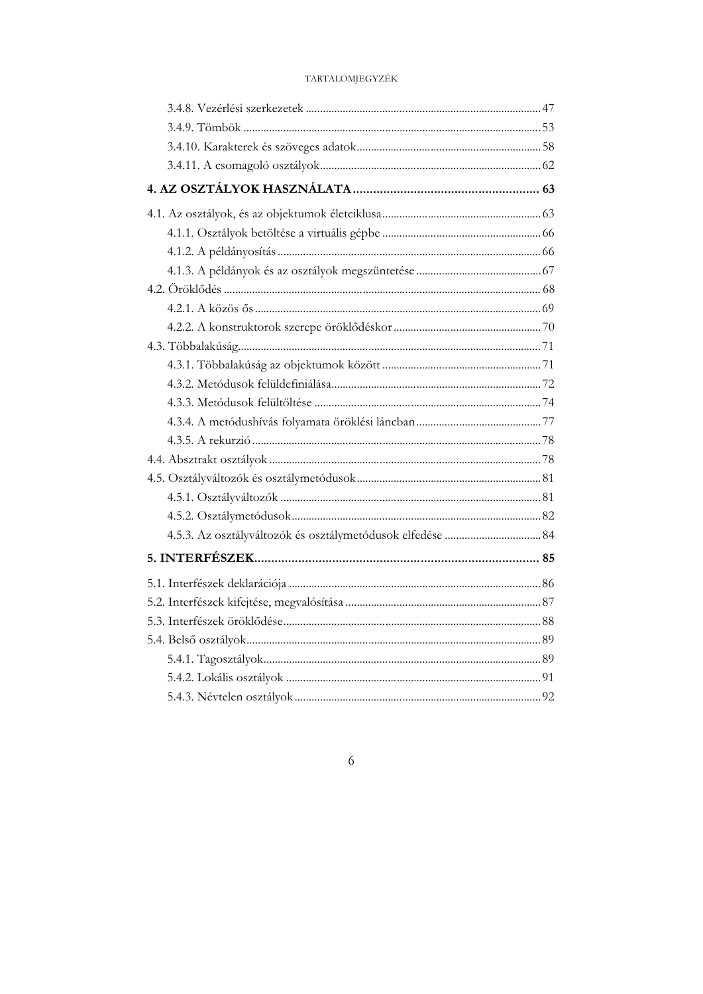$\overline{6}$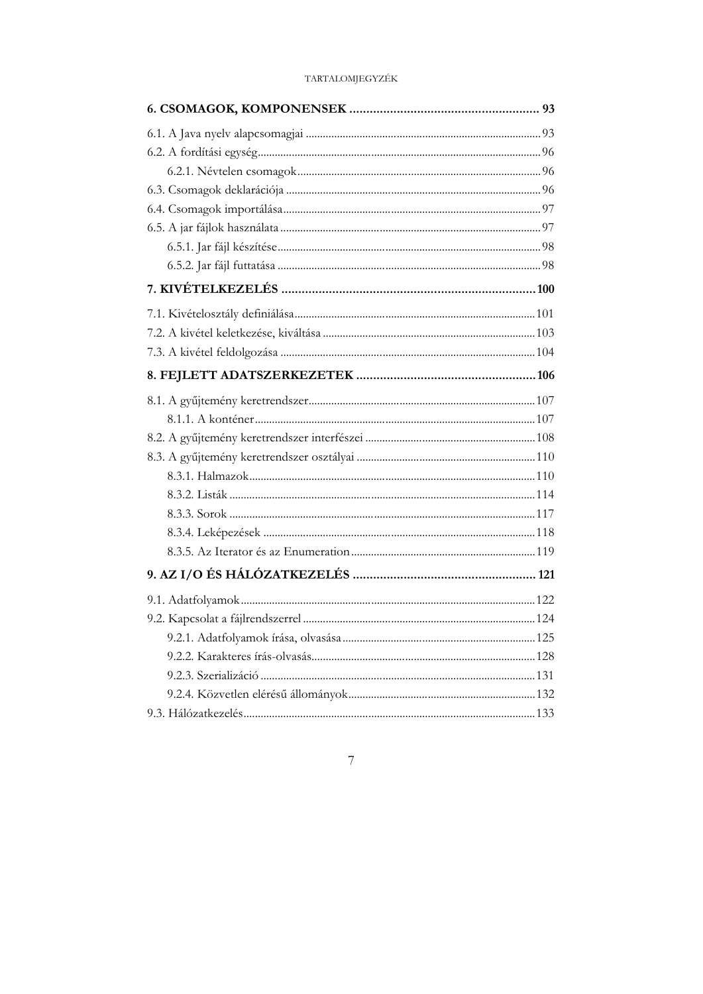### $\overline{7}$